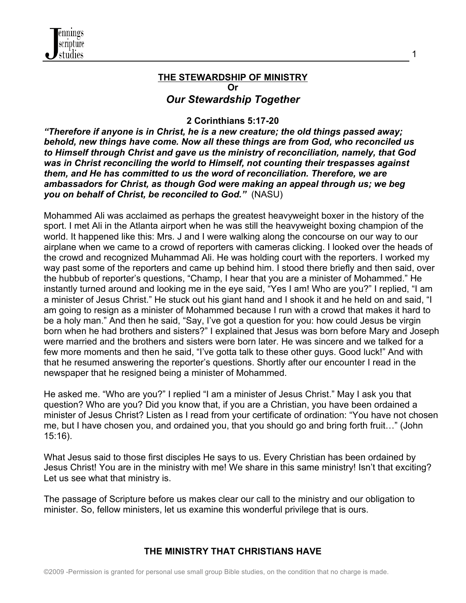

#### **THE STEWARDSHIP OF MINISTRY Or** *Our Stewardship Together*

1

### **2 Corinthians 5:17-20**

*"Therefore if anyone is in Christ, he is a new creature; the old things passed away; behold, new things have come. Now all these things are from God, who reconciled us to Himself through Christ and gave us the ministry of reconciliation, namely, that God was in Christ reconciling the world to Himself, not counting their trespasses against them, and He has committed to us the word of reconciliation. Therefore, we are ambassadors for Christ, as though God were making an appeal through us; we beg you on behalf of Christ, be reconciled to God."* (NASU)

Mohammed Ali was acclaimed as perhaps the greatest heavyweight boxer in the history of the sport. I met Ali in the Atlanta airport when he was still the heavyweight boxing champion of the world. It happened like this: Mrs. J and I were walking along the concourse on our way to our airplane when we came to a crowd of reporters with cameras clicking. I looked over the heads of the crowd and recognized Muhammad Ali. He was holding court with the reporters. I worked my way past some of the reporters and came up behind him. I stood there briefly and then said, over the hubbub of reporter's questions, "Champ, I hear that you are a minister of Mohammed." He instantly turned around and looking me in the eye said, "Yes I am! Who are you?" I replied, "I am a minister of Jesus Christ." He stuck out his giant hand and I shook it and he held on and said, "I am going to resign as a minister of Mohammed because I run with a crowd that makes it hard to be a holy man." And then he said, "Say, I've got a question for you: how could Jesus be virgin born when he had brothers and sisters?" I explained that Jesus was born before Mary and Joseph were married and the brothers and sisters were born later. He was sincere and we talked for a few more moments and then he said, "I've gotta talk to these other guys. Good luck!" And with that he resumed answering the reporter's questions. Shortly after our encounter I read in the newspaper that he resigned being a minister of Mohammed.

He asked me. "Who are you?" I replied "I am a minister of Jesus Christ." May I ask you that question? Who are you? Did you know that, if you are a Christian, you have been ordained a minister of Jesus Christ? Listen as I read from your certificate of ordination: "You have not chosen me, but I have chosen you, and ordained you, that you should go and bring forth fruit…" (John 15:16).

What Jesus said to those first disciples He says to us. Every Christian has been ordained by Jesus Christ! You are in the ministry with me! We share in this same ministry! Isn't that exciting? Let us see what that ministry is.

The passage of Scripture before us makes clear our call to the ministry and our obligation to minister. So, fellow ministers, let us examine this wonderful privilege that is ours.

# **THE MINISTRY THAT CHRISTIANS HAVE**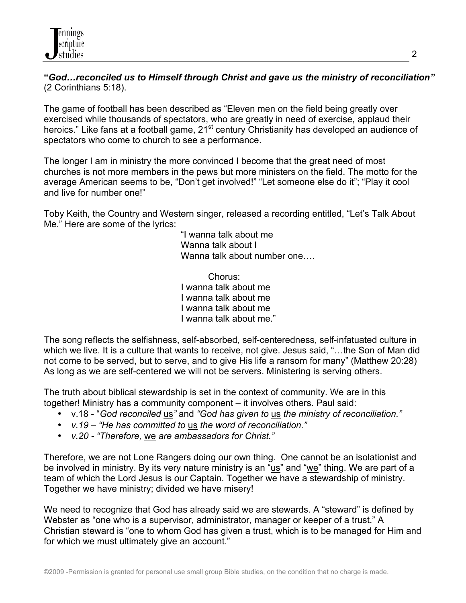**"***God…reconciled us to Himself through Christ and gave us the ministry of reconciliation"* (2 Corinthians 5:18).

The game of football has been described as "Eleven men on the field being greatly over exercised while thousands of spectators, who are greatly in need of exercise, applaud their heroics." Like fans at a football game, 21<sup>st</sup> century Christianity has developed an audience of spectators who come to church to see a performance.

The longer I am in ministry the more convinced I become that the great need of most churches is not more members in the pews but more ministers on the field. The motto for the average American seems to be, "Don't get involved!" "Let someone else do it"; "Play it cool and live for number one!"

Toby Keith, the Country and Western singer, released a recording entitled, "Let's Talk About Me." Here are some of the lyrics:

> "I wanna talk about me Wanna talk about I Wanna talk about number one....

Chorus: I wanna talk about me I wanna talk about me I wanna talk about me I wanna talk about me."

The song reflects the selfishness, self-absorbed, self-centeredness, self-infatuated culture in which we live. It is a culture that wants to receive, not give. Jesus said, "…the Son of Man did not come to be served, but to serve, and to give His life a ransom for many" (Matthew 20:28) As long as we are self-centered we will not be servers. Ministering is serving others.

The truth about biblical stewardship is set in the context of community. We are in this together! Ministry has a community component – it involves others. Paul said:

- v.18 "*God reconciled* us*"* and *"God has given to* us *the ministry of reconciliation."*
- *v.19 – "He has committed to* us *the word of reconciliation."*
- *v.20 - "Therefore,* we *are ambassadors for Christ."*

Therefore, we are not Lone Rangers doing our own thing. One cannot be an isolationist and be involved in ministry. By its very nature ministry is an "us" and "we" thing. We are part of a team of which the Lord Jesus is our Captain. Together we have a stewardship of ministry. Together we have ministry; divided we have misery!

We need to recognize that God has already said we are stewards. A "steward" is defined by Webster as "one who is a supervisor, administrator, manager or keeper of a trust." A Christian steward is "one to whom God has given a trust, which is to be managed for Him and for which we must ultimately give an account."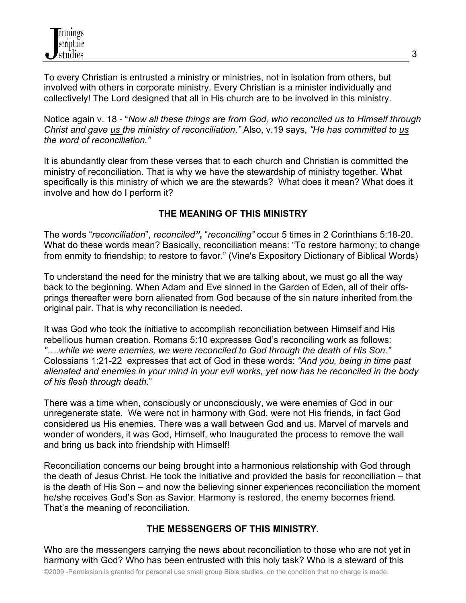

To every Christian is entrusted a ministry or ministries, not in isolation from others, but involved with others in corporate ministry. Every Christian is a minister individually and collectively! The Lord designed that all in His church are to be involved in this ministry.

Notice again v. 18 - "*Now all these things are from God, who reconciled us to Himself through Christ and gave us the ministry of reconciliation."* Also, v.19 says, *"He has committed to us the word of reconciliation."*

It is abundantly clear from these verses that to each church and Christian is committed the ministry of reconciliation. That is why we have the stewardship of ministry together. What specifically is this ministry of which we are the stewards? What does it mean? What does it involve and how do I perform it?

### **THE MEANING OF THIS MINISTRY**

The words "*reconciliation*", *reconciled"***,** "*reconciling"* occur 5 times in 2 Corinthians 5:18-20. What do these words mean? Basically, reconciliation means: "To restore harmony; to change from enmity to friendship; to restore to favor." (Vine's Expository Dictionary of Biblical Words)

To understand the need for the ministry that we are talking about, we must go all the way back to the beginning. When Adam and Eve sinned in the Garden of Eden, all of their offsprings thereafter were born alienated from God because of the sin nature inherited from the original pair. That is why reconciliation is needed.

It was God who took the initiative to accomplish reconciliation between Himself and His rebellious human creation. Romans 5:10 expresses God's reconciling work as follows: *"….while we were enemies, we were reconciled to God through the death of His Son."*  Colossians 1:21-22 expresses that act of God in these words: *"And you, being in time past alienated and enemies in your mind in your evil works, yet now has he reconciled in the body of his flesh through death*."

There was a time when, consciously or unconsciously, we were enemies of God in our unregenerate state. We were not in harmony with God, were not His friends, in fact God considered us His enemies. There was a wall between God and us. Marvel of marvels and wonder of wonders, it was God, Himself, who Inaugurated the process to remove the wall and bring us back into friendship with Himself!

Reconciliation concerns our being brought into a harmonious relationship with God through the death of Jesus Christ. He took the initiative and provided the basis for reconciliation – that is the death of His Son – and now the believing sinner experiences reconciliation the moment he/she receives God's Son as Savior. Harmony is restored, the enemy becomes friend. That's the meaning of reconciliation.

#### **THE MESSENGERS OF THIS MINISTRY**.

Who are the messengers carrying the news about reconciliation to those who are not yet in harmony with God? Who has been entrusted with this holy task? Who is a steward of this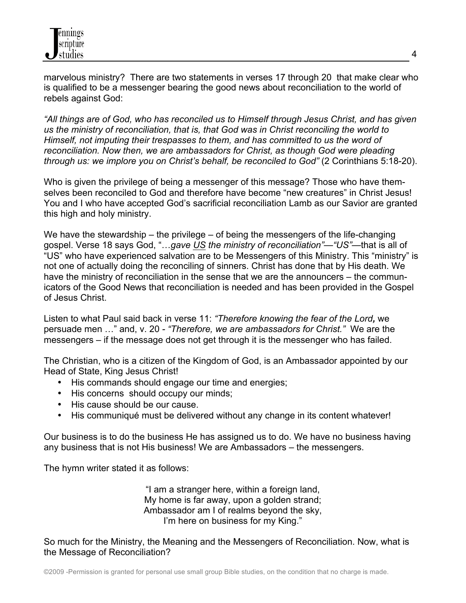marvelous ministry? There are two statements in verses 17 through 20 that make clear who is qualified to be a messenger bearing the good news about reconciliation to the world of rebels against God:

*"All things are of God, who has reconciled us to Himself through Jesus Christ, and has given us the ministry of reconciliation, that is, that God was in Christ reconciling the world to Himself, not imputing their trespasses to them, and has committed to us the word of reconciliation. Now then, we are ambassadors for Christ, as though God were pleading through us: we implore you on Christ's behalf, be reconciled to God"* (2 Corinthians 5:18-20).

Who is given the privilege of being a messenger of this message? Those who have themselves been reconciled to God and therefore have become "new creatures" in Christ Jesus! You and I who have accepted God's sacrificial reconciliation Lamb as our Savior are granted this high and holy ministry.

We have the stewardship – the privilege – of being the messengers of the life-changing gospel. Verse 18 says God, "…*gave US the ministry of reconciliation"—"US"—*that is all of "US" who have experienced salvation are to be Messengers of this Ministry. This "ministry" is not one of actually doing the reconciling of sinners. Christ has done that by His death. We have the ministry of reconciliation in the sense that we are the announcers – the communicators of the Good News that reconciliation is needed and has been provided in the Gospel of Jesus Christ.

Listen to what Paul said back in verse 11: *"Therefore knowing the fear of the Lord,* we persuade men …" and, v. 20 *- "Therefore, we are ambassadors for Christ."* We are the messengers – if the message does not get through it is the messenger who has failed.

The Christian, who is a citizen of the Kingdom of God, is an Ambassador appointed by our Head of State, King Jesus Christ!

- His commands should engage our time and energies;
- His concerns should occupy our minds;
- His cause should be our cause.
- His communiqué must be delivered without any change in its content whatever!

Our business is to do the business He has assigned us to do. We have no business having any business that is not His business! We are Ambassadors – the messengers.

The hymn writer stated it as follows:

"I am a stranger here, within a foreign land, My home is far away, upon a golden strand; Ambassador am I of realms beyond the sky, I'm here on business for my King."

So much for the Ministry, the Meaning and the Messengers of Reconciliation. Now, what is the Message of Reconciliation?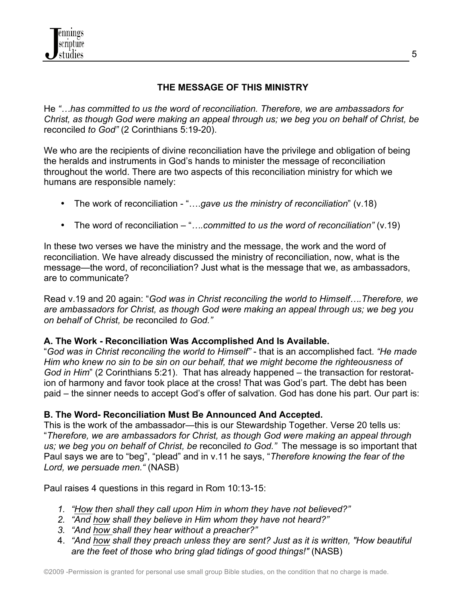

# **THE MESSAGE OF THIS MINISTRY**

He *"…has committed to us the word of reconciliation. Therefore, we are ambassadors for Christ, as though God were making an appeal through us; we beg you on behalf of Christ, be*  reconciled *to God"* (2 Corinthians 5:19-20).

We who are the recipients of divine reconciliation have the privilege and obligation of being the heralds and instruments in God's hands to minister the message of reconciliation throughout the world. There are two aspects of this reconciliation ministry for which we humans are responsible namely:

- The work of reconciliation "….*gave us the ministry of reconciliation*" (v.18)
- The word of reconciliation "*….committed to us the word of reconciliation"* (v.19)

In these two verses we have the ministry and the message, the work and the word of reconciliation. We have already discussed the ministry of reconciliation, now, what is the message—the word, of reconciliation? Just what is the message that we, as ambassadors, are to communicate?

Read v.19 and 20 again: "*God was in Christ reconciling the world to Himself….Therefore, we are ambassadors for Christ, as though God were making an appeal through us; we beg you on behalf of Christ, be* reconciled *to God."* 

# **A. The Work - Reconciliation Was Accomplished And Is Available.**

"*God was in Christ reconciling the world to Himself"* - that is an accomplished fact. *"He made Him who knew no sin to be sin on our behalf, that we might become the righteousness of God in Him*" (2 Corinthians 5:21). That has already happened – the transaction for restoration of harmony and favor took place at the cross! That was God's part. The debt has been paid – the sinner needs to accept God's offer of salvation. God has done his part. Our part is:

# **B. The Word- Reconciliation Must Be Announced And Accepted.**

This is the work of the ambassador—this is our Stewardship Together. Verse 20 tells us: "*Therefore, we are ambassadors for Christ, as though God were making an appeal through us; we beg you on behalf of Christ, be* reconciled *to God."* The message is so important that Paul says we are to "beg", "plead" and in v.11 he says, "*Therefore knowing the fear of the Lord, we persuade men."* (NASB)

Paul raises 4 questions in this regard in Rom 10:13-15:

- *1. "How then shall they call upon Him in whom they have not believed?"*
- *2. "And how shall they believe in Him whom they have not heard?"*
- *3. "And how shall they hear without a preacher?"*
- 4. *"And how shall they preach unless they are sent? Just as it is written, "How beautiful are the feet of those who bring glad tidings of good things!"* (NASB)